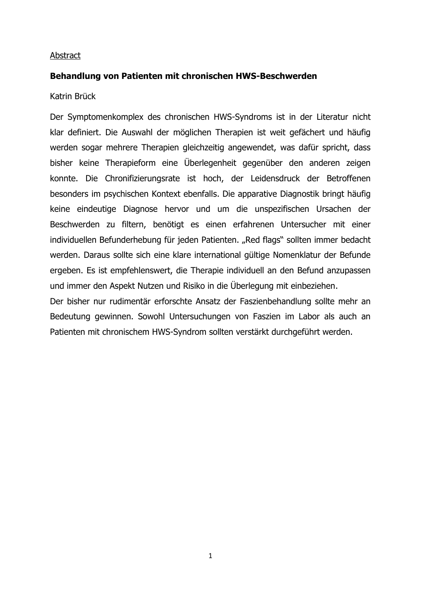## Abstract

## **Behandlung von Patienten mit chronischen HWS-Beschwerden**

#### Katrin Brück

Der Symptomenkomplex des chronischen HWS-Syndroms ist in der Literatur nicht klar definiert. Die Auswahl der möglichen Therapien ist weit gefächert und häufig werden sogar mehrere Therapien gleichzeitig angewendet, was dafür spricht, dass bisher keine Therapieform eine Überlegenheit gegenüber den anderen zeigen konnte. Die Chronifizierungsrate ist hoch, der Leidensdruck der Betroffenen besonders im psychischen Kontext ebenfalls. Die apparative Diagnostik bringt häufig keine eindeutige Diagnose hervor und um die unspezifischen Ursachen der Beschwerden zu filtern, benötigt es einen erfahrenen Untersucher mit einer individuellen Befunderhebung für jeden Patienten. "Red flags" sollten immer bedacht werden. Daraus sollte sich eine klare international gültige Nomenklatur der Befunde ergeben. Es ist empfehlenswert, die Therapie individuell an den Befund anzupassen und immer den Aspekt Nutzen und Risiko in die Überlegung mit einbeziehen.

Der bisher nur rudimentär erforschte Ansatz der Faszienbehandlung sollte mehr an Bedeutung gewinnen. Sowohl Untersuchungen von Faszien im Labor als auch an Patienten mit chronischem HWS-Syndrom sollten verstärkt durchgeführt werden.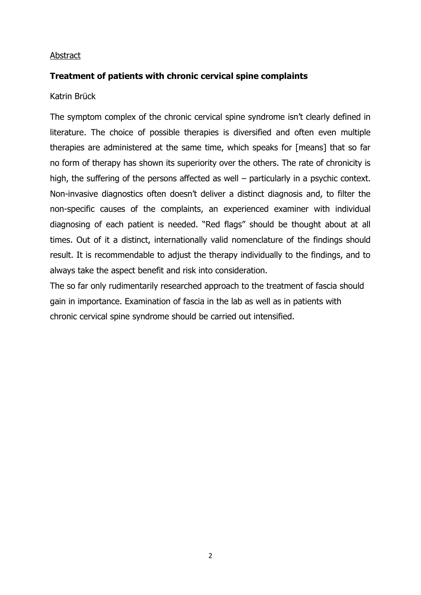## Abstract

## **Treatment of patients with chronic cervical spine complaints**

Katrin Brück

The symptom complex of the chronic cervical spine syndrome isn't clearly defined in literature. The choice of possible therapies is diversified and often even multiple therapies are administered at the same time, which speaks for [means] that so far no form of therapy has shown its superiority over the others. The rate of chronicity is high, the suffering of the persons affected as well – particularly in a psychic context. Non-invasive diagnostics often doesn't deliver a distinct diagnosis and, to filter the non-specific causes of the complaints, an experienced examiner with individual diagnosing of each patient is needed. "Red flags" should be thought about at all times. Out of it a distinct, internationally valid nomenclature of the findings should result. It is recommendable to adjust the therapy individually to the findings, and to always take the aspect benefit and risk into consideration.

The so far only rudimentarily researched approach to the treatment of fascia should gain in importance. Examination of fascia in the lab as well as in patients with chronic cervical spine syndrome should be carried out intensified.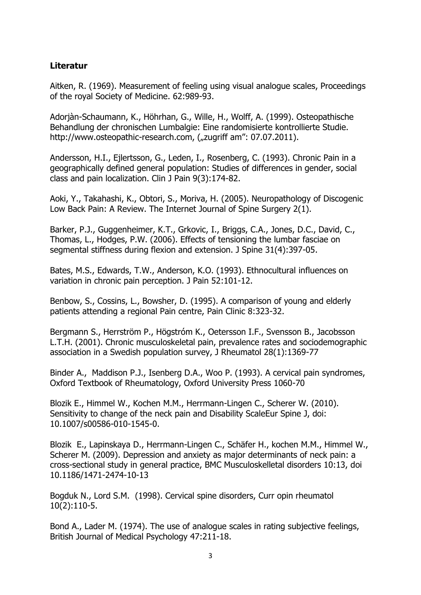# **Literatur**

Aitken, R. (1969). Measurement of feeling using visual analogue scales, Proceedings of the royal Society of Medicine. 62:989-93.

Adorjàn-Schaumann, K., Höhrhan, G., Wille, H., Wolff, A. (1999). Osteopathische Behandlung der chronischen Lumbalgie: Eine randomisierte kontrollierte Studie. http://www.osteopathic-research.com, ("zugriff am": 07.07.2011).

Andersson, H.I., Ejlertsson, G., Leden, I., Rosenberg, C. (1993). Chronic Pain in a geographically defined general population: Studies of differences in gender, social class and pain localization. Clin J Pain 9(3):174-82.

Aoki, Y., Takahashi, K., Obtori, S., Moriva, H. (2005). Neuropathology of Discogenic Low Back Pain: A Review. The Internet Journal of Spine Surgery 2(1).

Barker, P.J., Guggenheimer, K.T., Grkovic, I., Briggs, C.A., Jones, D.C., David, C., Thomas, L., Hodges, P.W. (2006). Effects of tensioning the lumbar fasciae on segmental stiffness during flexion and extension. J Spine 31(4):397-05.

Bates, M.S., Edwards, T.W., Anderson, K.O. (1993). Ethnocultural influences on variation in chronic pain perception. J Pain 52:101-12.

Benbow, S., Cossins, L., Bowsher, D. (1995). A comparison of young and elderly patients attending a regional Pain centre, Pain Clinic 8:323-32.

Bergmann S., Herrström P., Högstróm K., Oetersson I.F., Svensson B., Jacobsson L.T.H. (2001). Chronic musculoskeletal pain, prevalence rates and sociodemographic association in a Swedish population survey, J Rheumatol 28(1):1369-77

Binder A., Maddison P.J., Isenberg D.A., Woo P. (1993). A cervical pain syndromes, Oxford Textbook of Rheumatology, Oxford University Press 1060-70

Blozik E., Himmel W., Kochen M.M., Herrmann-Lingen C., Scherer W. (2010). Sensitivity to change of the neck pain and Disability ScaleEur Spine J, doi: 10.1007/s00586-010-1545-0.

Blozik E., Lapinskaya D., Herrmann-Lingen C., Schäfer H., kochen M.M., Himmel W., Scherer M. (2009). Depression and anxiety as major determinants of neck pain: a cross-sectional study in general practice, BMC Musculoskelletal disorders 10:13, doi 10.1186/1471-2474-10-13

Bogduk N., Lord S.M. (1998). Cervical spine disorders, Curr opin rheumatol 10(2):110-5.

Bond A., Lader M. (1974). The use of analogue scales in rating subjective feelings, British Journal of Medical Psychology 47:211-18.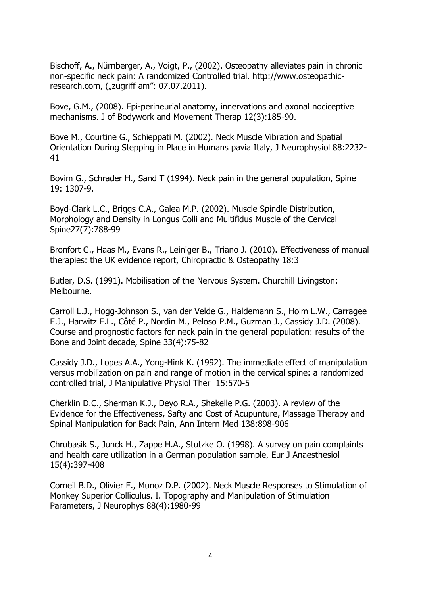Bischoff, A., Nürnberger, A., Voigt, P., (2002). Osteopathy alleviates pain in chronic non-specific neck pain: A randomized Controlled trial. http://www.osteopathicresearch.com, ("zugriff am": 07.07.2011).

Bove, G.M., (2008). Epi-perineurial anatomy, innervations and axonal nociceptive mechanisms. J of Bodywork and Movement Therap 12(3):185-90.

Bove M., Courtine G., Schieppati M. (2002). Neck Muscle Vibration and Spatial Orientation During Stepping in Place in Humans pavia Italy, J Neurophysiol 88:2232- 41

Bovim G., Schrader H., Sand T (1994). Neck pain in the general population, Spine 19: 1307-9.

Boyd-Clark L.C., Briggs C.A., Galea M.P. (2002). Muscle Spindle Distribution, Morphology and Density in Longus Colli and Multifidus Muscle of the Cervical Spine27(7):788-99

Bronfort G., Haas M., Evans R., Leiniger B., Triano J. (2010). Effectiveness of manual therapies: the UK evidence report, Chiropractic & Osteopathy 18:3

Butler, D.S. (1991). Mobilisation of the Nervous System. Churchill Livingston: Melbourne.

Carroll L.J., Hogg-Johnson S., van der Velde G., Haldemann S., Holm L.W., Carragee E.J., Harwitz E.L., Côté P., Nordin M., Peloso P.M., Guzman J., Cassidy J.D. (2008). Course and prognostic factors for neck pain in the general population: results of the Bone and Joint decade, Spine 33(4):75-82

Cassidy J.D., Lopes A.A., Yong-Hink K. (1992). The immediate effect of manipulation versus mobilization on pain and range of motion in the cervical spine: a randomized controlled trial, J Manipulative Physiol Ther 15:570-5

Cherklin D.C., Sherman K.J., Deyo R.A., Shekelle P.G. (2003). A review of the Evidence for the Effectiveness, Safty and Cost of Acupunture, Massage Therapy and Spinal Manipulation for Back Pain, Ann Intern Med 138:898-906

Chrubasik S., Junck H., Zappe H.A., Stutzke O. (1998). A survey on pain complaints and health care utilization in a German population sample, Eur J Anaesthesiol 15(4):397-408

Corneil B.D., Olivier E., Munoz D.P. (2002). Neck Muscle Responses to Stimulation of Monkey Superior Colliculus. I. Topography and Manipulation of Stimulation Parameters, J Neurophys 88(4):1980-99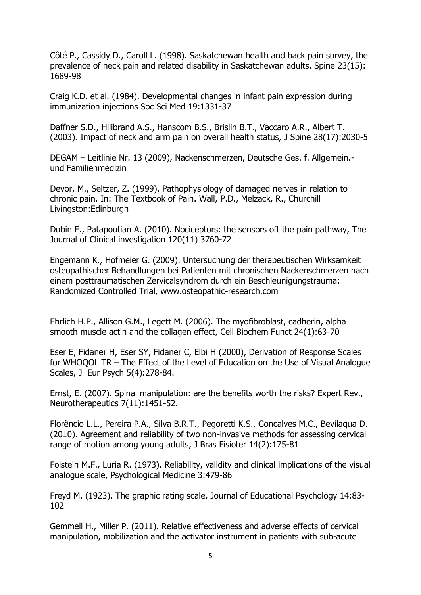Côté P., Cassidy D., Caroll L. (1998). Saskatchewan health and back pain survey, the prevalence of neck pain and related disability in Saskatchewan adults, Spine 23(15): 1689-98

Craig K.D. et al. (1984). Developmental changes in infant pain expression during immunization injections Soc Sci Med 19:1331-37

Daffner S.D., Hilibrand A.S., Hanscom B.S., Brislin B.T., Vaccaro A.R., Albert T. (2003). Impact of neck and arm pain on overall health status, J Spine 28(17):2030-5

DEGAM – Leitlinie Nr. 13 (2009), Nackenschmerzen, Deutsche Ges. f. Allgemein. und Familienmedizin

Devor, M., Seltzer, Z. (1999). Pathophysiology of damaged nerves in relation to chronic pain. In: The Textbook of Pain. Wall, P.D., Melzack, R., Churchill Livingston:Edinburgh

Dubin E., Patapoutian A. (2010). Nociceptors: the sensors oft the pain pathway, The Journal of Clinical investigation 120(11) 3760-72

Engemann K., Hofmeier G. (2009). Untersuchung der therapeutischen Wirksamkeit osteopathischer Behandlungen bei Patienten mit chronischen Nackenschmerzen nach einem posttraumatischen Zervicalsyndrom durch ein Beschleunigungstrauma: Randomized Controlled Trial, www.osteopathic-research.com

Ehrlich H.P., Allison G.M., Legett M. (2006). The myofibroblast, cadherin, alpha smooth muscle actin and the collagen effect, Cell Biochem Funct 24(1):63-70

Eser E, Fidaner H, Eser SY, Fidaner C, Elbi H (2000), Derivation of Response Scales for WHOQOL TR – The Effect of the Level of Education on the Use of Visual Analogue Scales, J Eur Psych 5(4):278-84.

Ernst, E. (2007). Spinal manipulation: are the benefits worth the risks? Expert Rev., Neurotherapeutics 7(11):1451-52.

Florêncio L.L., Pereira P.A., Silva B.R.T., Pegoretti K.S., Goncalves M.C., Bevilaqua D. (2010). Agreement and reliability of two non-invasive methods for assessing cervical range of motion among young adults, J Bras Fisioter 14(2):175-81

Folstein M.F., Luria R. (1973). Reliability, validity and clinical implications of the visual analogue scale, Psychological Medicine 3:479-86

Freyd M. (1923). The graphic rating scale, Journal of Educational Psychology 14:83- 102

Gemmell H., Miller P. (2011). Relative effectiveness and adverse effects of cervical manipulation, mobilization and the activator instrument in patients with sub-acute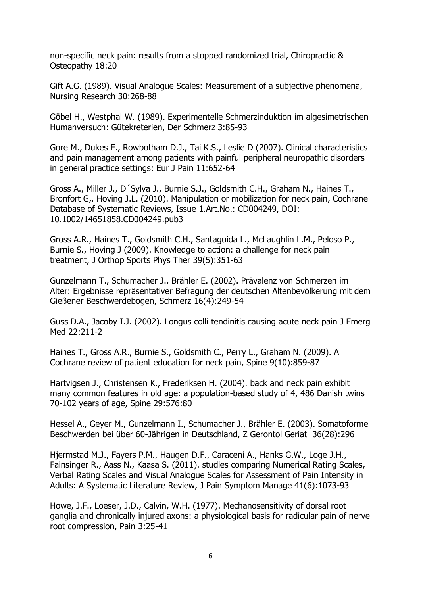non-specific neck pain: results from a stopped randomized trial, Chiropractic & Osteopathy 18:20

Gift A.G. (1989). Visual Analogue Scales: Measurement of a subjective phenomena, Nursing Research 30:268-88

Göbel H., Westphal W. (1989). Experimentelle Schmerzinduktion im algesimetrischen Humanversuch: Gütekreterien, Der Schmerz 3:85-93

Gore M., Dukes E., Rowbotham D.J., Tai K.S., Leslie D (2007). Clinical characteristics and pain management among patients with painful peripheral neuropathic disorders in general practice settings: Eur J Pain 11:652-64

Gross A., Miller J., D´Sylva J., Burnie S.J., Goldsmith C.H., Graham N., Haines T., Bronfort G,. Hoving J.L. (2010). Manipulation or mobilization for neck pain, Cochrane Database of Systematic Reviews, Issue 1.Art.No.: CD004249, DOI: 10.1002/14651858.CD004249.pub3

Gross A.R., Haines T., Goldsmith C.H., Santaguida L., McLaughlin L.M., Peloso P., Burnie S., Hoving J (2009). Knowledge to action: a challenge for neck pain treatment, J Orthop Sports Phys Ther 39(5):351-63

Gunzelmann T., Schumacher J., Brähler E. (2002). Prävalenz von Schmerzen im Alter: Ergebnisse repräsentativer Befragung der deutschen Altenbevölkerung mit dem Gießener Beschwerdebogen, Schmerz 16(4):249-54

Guss D.A., Jacoby I.J. (2002). Longus colli tendinitis causing acute neck pain J Emerg Med 22:211-2

Haines T., Gross A.R., Burnie S., Goldsmith C., Perry L., Graham N. (2009). A Cochrane review of patient education for neck pain, Spine 9(10):859-87

Hartvigsen J., Christensen K., Frederiksen H. (2004). back and neck pain exhibit many common features in old age: a population-based study of 4, 486 Danish twins 70-102 years of age, Spine 29:576:80

Hessel A., Geyer M., Gunzelmann I., Schumacher J., Brähler E. (2003). Somatoforme Beschwerden bei über 60-Jährigen in Deutschland, Z Gerontol Geriat 36(28):296

Hjermstad M.J., Fayers P.M., Haugen D.F., Caraceni A., Hanks G.W., Loge J.H., Fainsinger R., Aass N., Kaasa S. (2011). studies comparing Numerical Rating Scales, Verbal Rating Scales and Visual Analogue Scales for Assessment of Pain Intensity in Adults: A Systematic Literature Review, J Pain Symptom Manage 41(6):1073-93

Howe, J.F., Loeser, J.D., Calvin, W.H. (1977). Mechanosensitivity of dorsal root ganglia and chronically injured axons: a physiological basis for radicular pain of nerve root compression, Pain 3:25-41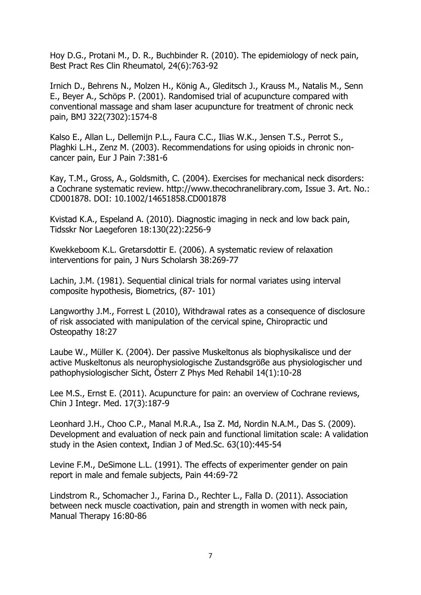Hoy D.G., Protani M., D. R., Buchbinder R. (2010). The epidemiology of neck pain, Best Pract Res Clin Rheumatol, 24(6):763-92

Irnich D., Behrens N., Molzen H., König A., Gleditsch J., Krauss M., Natalis M., Senn E., Beyer A., Schöps P. (2001). Randomised trial of acupuncture compared with conventional massage and sham laser acupuncture for treatment of chronic neck pain, BMJ 322(7302):1574-8

Kalso E., Allan L., Dellemijn P.L., Faura C.C., Ilias W.K., Jensen T.S., Perrot S., Plaghki L.H., Zenz M. (2003). Recommendations for using opioids in chronic noncancer pain, Eur J Pain 7:381-6

Kay, T.M., Gross, A., Goldsmith, C. (2004). Exercises for mechanical neck disorders: a Cochrane systematic review. http://www.thecochranelibrary.com, Issue 3. Art. No.: CD001878. DOI: 10.1002/14651858.CD001878

Kvistad K.A., Espeland A. (2010). Diagnostic imaging in neck and low back pain, Tidsskr Nor Laegeforen 18:130(22):2256-9

Kwekkeboom K.L. Gretarsdottir E. (2006). A systematic review of relaxation interventions for pain, J Nurs Scholarsh 38:269-77

Lachin, J.M. (1981). Sequential clinical trials for normal variates using interval composite hypothesis, Biometrics, (87- 101)

Langworthy J.M., Forrest L (2010), Withdrawal rates as a consequence of disclosure of risk associated with manipulation of the cervical spine, Chiropractic und Osteopathy 18:27

Laube W., Müller K. (2004). Der passive Muskeltonus als biophysikalisce und der active Muskeltonus als neurophysiologische Zustandsgröße aus physiologischer und pathophysiologischer Sicht, Österr Z Phys Med Rehabil 14(1):10-28

Lee M.S., Ernst E. (2011). Acupuncture for pain: an overview of Cochrane reviews, Chin J Integr. Med. 17(3):187-9

Leonhard J.H., Choo C.P., Manal M.R.A., Isa Z. Md, Nordin N.A.M., Das S. (2009). Development and evaluation of neck pain and functional limitation scale: A validation study in the Asien context, Indian J of Med.Sc. 63(10):445-54

Levine F.M., DeSimone L.L. (1991). The effects of experimenter gender on pain report in male and female subjects, Pain 44:69-72

Lindstrom R., Schomacher J., Farina D., Rechter L., Falla D. (2011). Association between neck muscle coactivation, pain and strength in women with neck pain, Manual Therapy 16:80-86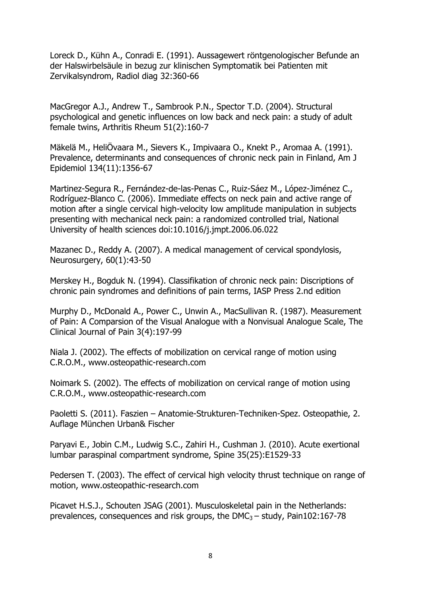Loreck D., Kühn A., Conradi E. (1991). Aussagewert röntgenologischer Befunde an der Halswirbelsäule in bezug zur klinischen Symptomatik bei Patienten mit Zervikalsyndrom, Radiol diag 32:360-66

MacGregor A.J., Andrew T., Sambrook P.N., Spector T.D. (2004). Structural psychological and genetic influences on low back and neck pain: a study of adult female twins, Arthritis Rheum 51(2):160-7

Mäkelä M., HeliÖvaara M., Sievers K., Impivaara O., Knekt P., Aromaa A. (1991). Prevalence, determinants and consequences of chronic neck pain in Finland, Am J Epidemiol 134(11):1356-67

Martinez-Segura R., Fernández-de-las-Penas C., Ruiz-Sáez M., López-Jiménez C., Rodríguez-Blanco C. (2006). Immediate effects on neck pain and active range of motion after a single cervical high-velocity low amplitude manipulation in subjects presenting with mechanical neck pain: a randomized controlled trial, National University of health sciences doi:10.1016/j.jmpt.2006.06.022

Mazanec D., Reddy A. (2007). A medical management of cervical spondylosis, Neurosurgery, 60(1):43-50

Merskey H., Bogduk N. (1994). Classifikation of chronic neck pain: Discriptions of chronic pain syndromes and definitions of pain terms, IASP Press 2.nd edition

Murphy D., McDonald A., Power C., Unwin A., MacSullivan R. (1987). Measurement of Pain: A Comparsion of the Visual Analogue with a Nonvisual Analogue Scale, The Clinical Journal of Pain 3(4):197-99

Niala J. (2002). The effects of mobilization on cervical range of motion using C.R.O.M., www.osteopathic-research.com

Noimark S. (2002). The effects of mobilization on cervical range of motion using C.R.O.M., www.osteopathic-research.com

Paoletti S. (2011). Faszien – Anatomie-Strukturen-Techniken-Spez. Osteopathie, 2. Auflage München Urban& Fischer

Paryavi E., Jobin C.M., Ludwig S.C., Zahiri H., Cushman J. (2010). Acute exertional lumbar paraspinal compartment syndrome, Spine 35(25):E1529-33

Pedersen T. (2003). The effect of cervical high velocity thrust technique on range of motion, www.osteopathic-research.com

Picavet H.S.J., Schouten JSAG (2001). Musculoskeletal pain in the Netherlands: prevalences, consequences and risk groups, the  $DMC_3 - study$ , Pain102:167-78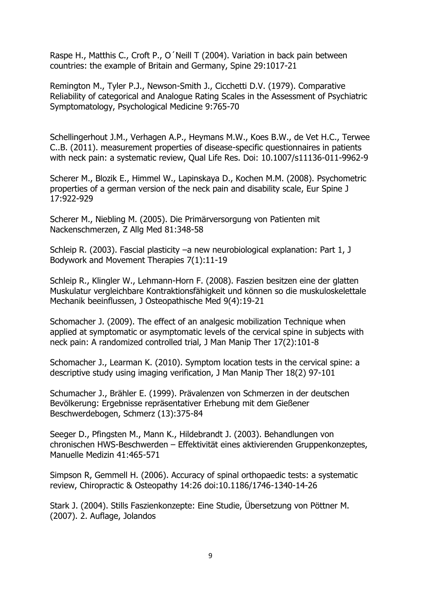Raspe H., Matthis C., Croft P., O´Neill T (2004). Variation in back pain between countries: the example of Britain and Germany, Spine 29:1017-21

Remington M., Tyler P.J., Newson-Smith J., Cicchetti D.V. (1979). Comparative Reliability of categorical and Analogue Rating Scales in the Assessment of Psychiatric Symptomatology, Psychological Medicine 9:765-70

Schellingerhout J.M., Verhagen A.P., Heymans M.W., Koes B.W., de Vet H.C., Terwee C..B. (2011). measurement properties of disease-specific questionnaires in patients with neck pain: a systematic review, Qual Life Res. Doi: 10.1007/s11136-011-9962-9

Scherer M., Blozik E., Himmel W., Lapinskaya D., Kochen M.M. (2008). Psychometric properties of a german version of the neck pain and disability scale, Eur Spine J 17:922-929

Scherer M., Niebling M. (2005). Die Primärversorgung von Patienten mit Nackenschmerzen, Z Allg Med 81:348-58

Schleip R. (2003). Fascial plasticity –a new neurobiological explanation: Part 1, J Bodywork and Movement Therapies 7(1):11-19

Schleip R., Klingler W., Lehmann-Horn F. (2008). Faszien besitzen eine der glatten Muskulatur vergleichbare Kontraktionsfähigkeit und können so die muskuloskelettale Mechanik beeinflussen, J Osteopathische Med 9(4):19-21

Schomacher J. (2009). The effect of an analgesic mobilization Technique when applied at symptomatic or asymptomatic levels of the cervical spine in subjects with neck pain: A randomized controlled trial, J Man Manip Ther 17(2):101-8

Schomacher J., Learman K. (2010). Symptom location tests in the cervical spine: a descriptive study using imaging verification, J Man Manip Ther 18(2) 97-101

Schumacher J., Brähler E. (1999). Prävalenzen von Schmerzen in der deutschen Bevölkerung: Ergebnisse repräsentativer Erhebung mit dem Gießener Beschwerdebogen, Schmerz (13):375-84

Seeger D., Pfingsten M., Mann K., Hildebrandt J. (2003). Behandlungen von chronischen HWS-Beschwerden – Effektivität eines aktivierenden Gruppenkonzeptes, Manuelle Medizin 41:465-571

Simpson R, Gemmell H. (2006). Accuracy of spinal orthopaedic tests: a systematic review, Chiropractic & Osteopathy 14:26 doi:10.1186/1746-1340-14-26

Stark J. (2004). Stills Faszienkonzepte: Eine Studie, Übersetzung von Pöttner M. (2007). 2. Auflage, Jolandos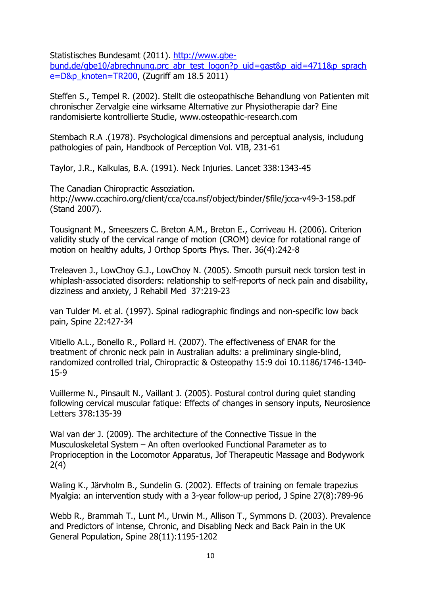Statistisches Bundesamt (2011). [http://www.gbe-](http://www.gbe-bund.de/gbe10/abrechnung.prc_abr_test_logon?p_uid=gast&p_aid=4711&p_sprache=D&p_knoten=TR200)

[bund.de/gbe10/abrechnung.prc\\_abr\\_test\\_logon?p\\_uid=gast&p\\_aid=4711&p\\_sprach](http://www.gbe-bund.de/gbe10/abrechnung.prc_abr_test_logon?p_uid=gast&p_aid=4711&p_sprache=D&p_knoten=TR200) [e=D&p\\_knoten=TR200,](http://www.gbe-bund.de/gbe10/abrechnung.prc_abr_test_logon?p_uid=gast&p_aid=4711&p_sprache=D&p_knoten=TR200) (Zugriff am 18.5 2011)

Steffen S., Tempel R. (2002). Stellt die osteopathische Behandlung von Patienten mit chronischer Zervalgie eine wirksame Alternative zur Physiotherapie dar? Eine randomisierte kontrollierte Studie, www.osteopathic-research.com

Stembach R.A .(1978). Psychological dimensions and perceptual analysis, includung pathologies of pain, Handbook of Perception Vol. VIB, 231-61

Taylor, J.R., Kalkulas, B.A. (1991). Neck Injuries. Lancet 338:1343-45

The Canadian Chiropractic Assoziation. http://www.ccachiro.org/client/cca/cca.nsf/object/binder/\$file/jcca-v49-3-158.pdf (Stand 2007).

Tousignant M., Smeeszers C. Breton A.M., Breton E., Corriveau H. (2006). Criterion validity study of the cervical range of motion (CROM) device for rotational range of motion on healthy adults, J Orthop Sports Phys. Ther. 36(4):242-8

Treleaven J., LowChoy G.J., LowChoy N. (2005). Smooth pursuit neck torsion test in whiplash-associated disorders: relationship to self-reports of neck pain and disability, dizziness and anxiety, J Rehabil Med 37:219-23

van Tulder M. et al. (1997). Spinal radiographic findings and non-specific low back pain, Spine 22:427-34

Vitiello A.L., Bonello R., Pollard H. (2007). The effectiveness of ENAR for the treatment of chronic neck pain in Australian adults: a preliminary single-blind, randomized controlled trial, Chiropractic & Osteopathy 15:9 doi 10.1186/1746-1340- 15-9

Vuillerme N., Pinsault N., Vaillant J. (2005). Postural control during quiet standing following cervical muscular fatique: Effects of changes in sensory inputs, Neurosience Letters 378:135-39

Wal van der J. (2009). The architecture of the Connective Tissue in the Musculoskeletal System – An often overlooked Functional Parameter as to Proprioception in the Locomotor Apparatus, Jof Therapeutic Massage and Bodywork 2(4)

Waling K., Järvholm B., Sundelin G. (2002). Effects of training on female trapezius Myalgia: an intervention study with a 3-year follow-up period, J Spine 27(8):789-96

Webb R., Brammah T., Lunt M., Urwin M., Allison T., Symmons D. (2003). Prevalence and Predictors of intense, Chronic, and Disabling Neck and Back Pain in the UK General Population, Spine 28(11):1195-1202